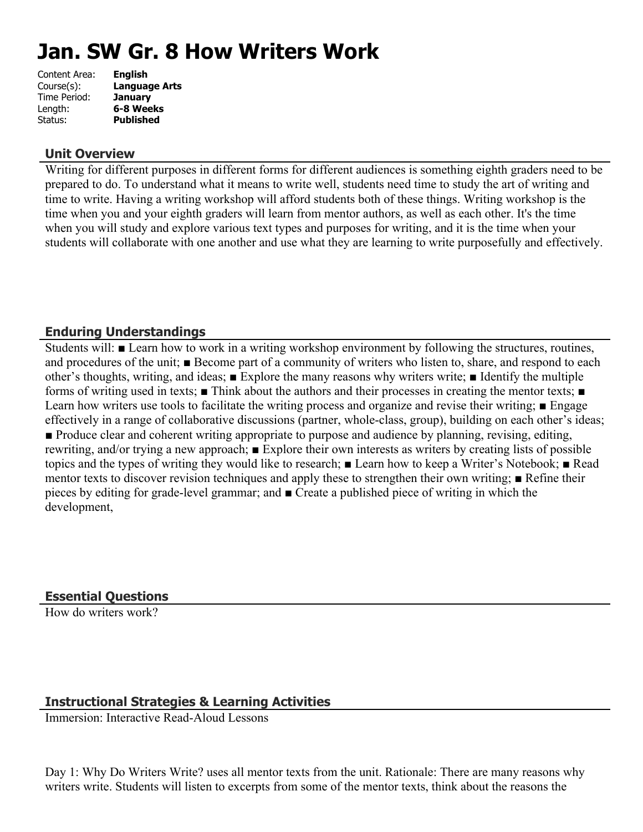# **Jan. SW Gr. 8 How Writers Work**

| <b>English</b>       |
|----------------------|
| <b>Language Arts</b> |
| <b>January</b>       |
| 6-8 Weeks            |
| <b>Published</b>     |
|                      |

## **Unit Overview**

Writing for different purposes in different forms for different audiences is something eighth graders need to be prepared to do. To understand what it means to write well, students need time to study the art of writing and time to write. Having a writing workshop will afford students both of these things. Writing workshop is the time when you and your eighth graders will learn from mentor authors, as well as each other. It's the time when you will study and explore various text types and purposes for writing, and it is the time when your students will collaborate with one another and use what they are learning to write purposefully and effectively.

# **Enduring Understandings**

Students will: ■ Learn how to work in a writing workshop environment by following the structures, routines, and procedures of the unit; ■ Become part of a community of writers who listen to, share, and respond to each other's thoughts, writing, and ideas; ■ Explore the many reasons why writers write; ■ Identify the multiple forms of writing used in texts; ■ Think about the authors and their processes in creating the mentor texts; ■ Learn how writers use tools to facilitate the writing process and organize and revise their writing; ■ Engage effectively in a range of collaborative discussions (partner, whole-class, group), building on each other's ideas; ■ Produce clear and coherent writing appropriate to purpose and audience by planning, revising, editing, rewriting, and/or trying a new approach; ■ Explore their own interests as writers by creating lists of possible topics and the types of writing they would like to research; ■ Learn how to keep a Writer's Notebook; ■ Read mentor texts to discover revision techniques and apply these to strengthen their own writing; ■ Refine their pieces by editing for grade-level grammar; and ■ Create a published piece of writing in which the development,

# **Essential Questions**

How do writers work?

# **Instructional Strategies & Learning Activities**

Immersion: Interactive Read-Aloud Lessons

Day 1: Why Do Writers Write? uses all mentor texts from the unit. Rationale: There are many reasons why writers write. Students will listen to excerpts from some of the mentor texts, think about the reasons the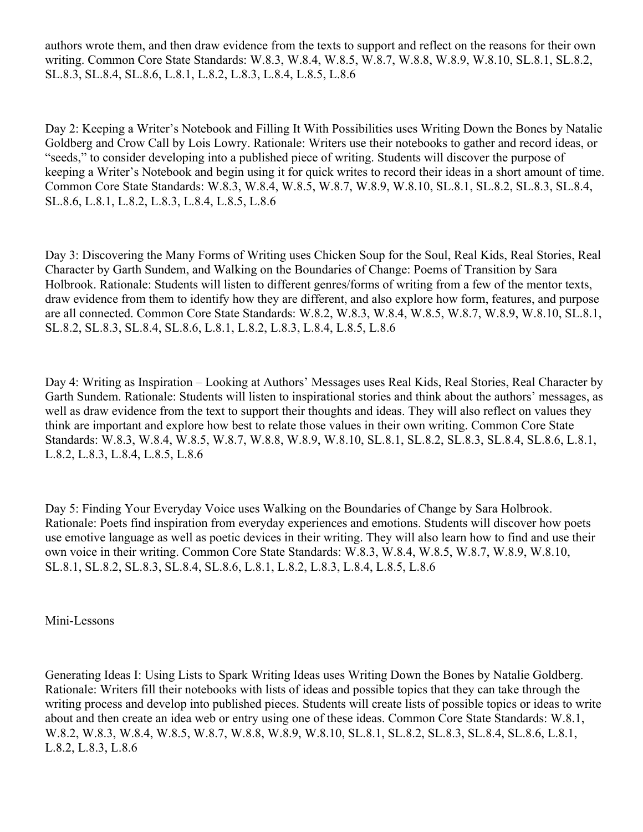authors wrote them, and then draw evidence from the texts to support and reflect on the reasons for their own writing. Common Core State Standards: W.8.3, W.8.4, W.8.5, W.8.7, W.8.8, W.8.9, W.8.10, SL.8.1, SL.8.2, SL.8.3, SL.8.4, SL.8.6, L.8.1, L.8.2, L.8.3, L.8.4, L.8.5, L.8.6

Day 2: Keeping a Writer's Notebook and Filling It With Possibilities uses Writing Down the Bones by Natalie Goldberg and Crow Call by Lois Lowry. Rationale: Writers use their notebooks to gather and record ideas, or "seeds," to consider developing into a published piece of writing. Students will discover the purpose of keeping a Writer's Notebook and begin using it for quick writes to record their ideas in a short amount of time. Common Core State Standards: W.8.3, W.8.4, W.8.5, W.8.7, W.8.9, W.8.10, SL.8.1, SL.8.2, SL.8.3, SL.8.4, SL.8.6, L.8.1, L.8.2, L.8.3, L.8.4, L.8.5, L.8.6

Day 3: Discovering the Many Forms of Writing uses Chicken Soup for the Soul, Real Kids, Real Stories, Real Character by Garth Sundem, and Walking on the Boundaries of Change: Poems of Transition by Sara Holbrook. Rationale: Students will listen to different genres/forms of writing from a few of the mentor texts, draw evidence from them to identify how they are different, and also explore how form, features, and purpose are all connected. Common Core State Standards: W.8.2, W.8.3, W.8.4, W.8.5, W.8.7, W.8.9, W.8.10, SL.8.1, SL.8.2, SL.8.3, SL.8.4, SL.8.6, L.8.1, L.8.2, L.8.3, L.8.4, L.8.5, L.8.6

Day 4: Writing as Inspiration – Looking at Authors' Messages uses Real Kids, Real Stories, Real Character by Garth Sundem. Rationale: Students will listen to inspirational stories and think about the authors' messages, as well as draw evidence from the text to support their thoughts and ideas. They will also reflect on values they think are important and explore how best to relate those values in their own writing. Common Core State Standards: W.8.3, W.8.4, W.8.5, W.8.7, W.8.8, W.8.9, W.8.10, SL.8.1, SL.8.2, SL.8.3, SL.8.4, SL.8.6, L.8.1, L.8.2, L.8.3, L.8.4, L.8.5, L.8.6

Day 5: Finding Your Everyday Voice uses Walking on the Boundaries of Change by Sara Holbrook. Rationale: Poets find inspiration from everyday experiences and emotions. Students will discover how poets use emotive language as well as poetic devices in their writing. They will also learn how to find and use their own voice in their writing. Common Core State Standards: W.8.3, W.8.4, W.8.5, W.8.7, W.8.9, W.8.10, SL.8.1, SL.8.2, SL.8.3, SL.8.4, SL.8.6, L.8.1, L.8.2, L.8.3, L.8.4, L.8.5, L.8.6

Mini-Lessons

Generating Ideas I: Using Lists to Spark Writing Ideas uses Writing Down the Bones by Natalie Goldberg. Rationale: Writers fill their notebooks with lists of ideas and possible topics that they can take through the writing process and develop into published pieces. Students will create lists of possible topics or ideas to write about and then create an idea web or entry using one of these ideas. Common Core State Standards: W.8.1, W.8.2, W.8.3, W.8.4, W.8.5, W.8.7, W.8.8, W.8.9, W.8.10, SL.8.1, SL.8.2, SL.8.3, SL.8.4, SL.8.6, L.8.1, L.8.2, L.8.3, L.8.6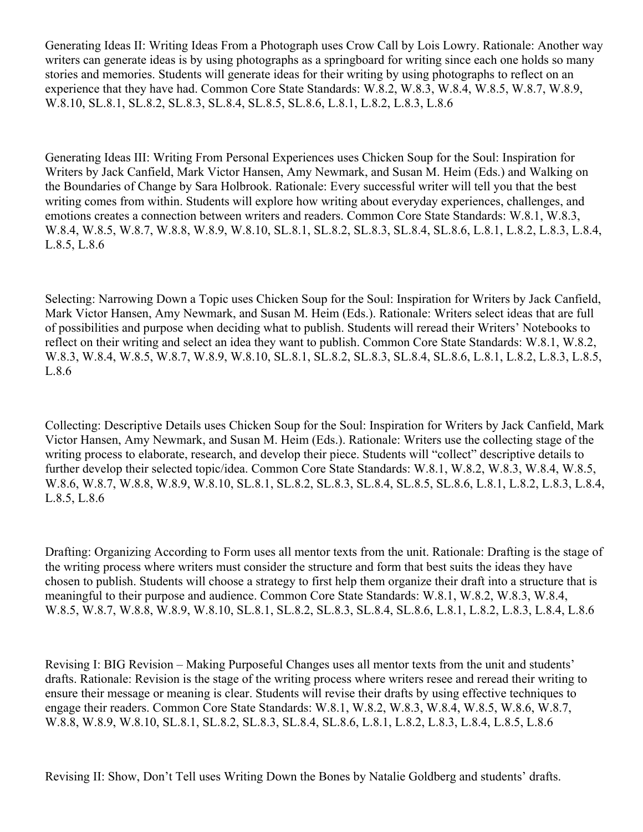Generating Ideas II: Writing Ideas From a Photograph uses Crow Call by Lois Lowry. Rationale: Another way writers can generate ideas is by using photographs as a springboard for writing since each one holds so many stories and memories. Students will generate ideas for their writing by using photographs to reflect on an experience that they have had. Common Core State Standards: W.8.2, W.8.3, W.8.4, W.8.5, W.8.7, W.8.9, W.8.10, SL.8.1, SL.8.2, SL.8.3, SL.8.4, SL.8.5, SL.8.6, L.8.1, L.8.2, L.8.3, L.8.6

Generating Ideas III: Writing From Personal Experiences uses Chicken Soup for the Soul: Inspiration for Writers by Jack Canfield, Mark Victor Hansen, Amy Newmark, and Susan M. Heim (Eds.) and Walking on the Boundaries of Change by Sara Holbrook. Rationale: Every successful writer will tell you that the best writing comes from within. Students will explore how writing about everyday experiences, challenges, and emotions creates a connection between writers and readers. Common Core State Standards: W.8.1, W.8.3, W.8.4, W.8.5, W.8.7, W.8.8, W.8.9, W.8.10, SL.8.1, SL.8.2, SL.8.3, SL.8.4, SL.8.6, L.8.1, L.8.2, L.8.3, L.8.4, L.8.5, L.8.6

Selecting: Narrowing Down a Topic uses Chicken Soup for the Soul: Inspiration for Writers by Jack Canfield, Mark Victor Hansen, Amy Newmark, and Susan M. Heim (Eds.). Rationale: Writers select ideas that are full of possibilities and purpose when deciding what to publish. Students will reread their Writers' Notebooks to reflect on their writing and select an idea they want to publish. Common Core State Standards: W.8.1, W.8.2, W.8.3, W.8.4, W.8.5, W.8.7, W.8.9, W.8.10, SL.8.1, SL.8.2, SL.8.3, SL.8.4, SL.8.6, L.8.1, L.8.2, L.8.3, L.8.5, L.8.6

Collecting: Descriptive Details uses Chicken Soup for the Soul: Inspiration for Writers by Jack Canfield, Mark Victor Hansen, Amy Newmark, and Susan M. Heim (Eds.). Rationale: Writers use the collecting stage of the writing process to elaborate, research, and develop their piece. Students will "collect" descriptive details to further develop their selected topic/idea. Common Core State Standards: W.8.1, W.8.2, W.8.3, W.8.4, W.8.5, W.8.6, W.8.7, W.8.8, W.8.9, W.8.10, SL.8.1, SL.8.2, SL.8.3, SL.8.4, SL.8.5, SL.8.6, L.8.1, L.8.2, L.8.3, L.8.4, L.8.5, L.8.6

Drafting: Organizing According to Form uses all mentor texts from the unit. Rationale: Drafting is the stage of the writing process where writers must consider the structure and form that best suits the ideas they have chosen to publish. Students will choose a strategy to first help them organize their draft into a structure that is meaningful to their purpose and audience. Common Core State Standards: W.8.1, W.8.2, W.8.3, W.8.4, W.8.5, W.8.7, W.8.8, W.8.9, W.8.10, SL.8.1, SL.8.2, SL.8.3, SL.8.4, SL.8.6, L.8.1, L.8.2, L.8.3, L.8.4, L.8.6

Revising I: BIG Revision – Making Purposeful Changes uses all mentor texts from the unit and students' drafts. Rationale: Revision is the stage of the writing process where writers resee and reread their writing to ensure their message or meaning is clear. Students will revise their drafts by using effective techniques to engage their readers. Common Core State Standards: W.8.1, W.8.2, W.8.3, W.8.4, W.8.5, W.8.6, W.8.7, W.8.8, W.8.9, W.8.10, SL.8.1, SL.8.2, SL.8.3, SL.8.4, SL.8.6, L.8.1, L.8.2, L.8.3, L.8.4, L.8.5, L.8.6

Revising II: Show, Don't Tell uses Writing Down the Bones by Natalie Goldberg and students' drafts.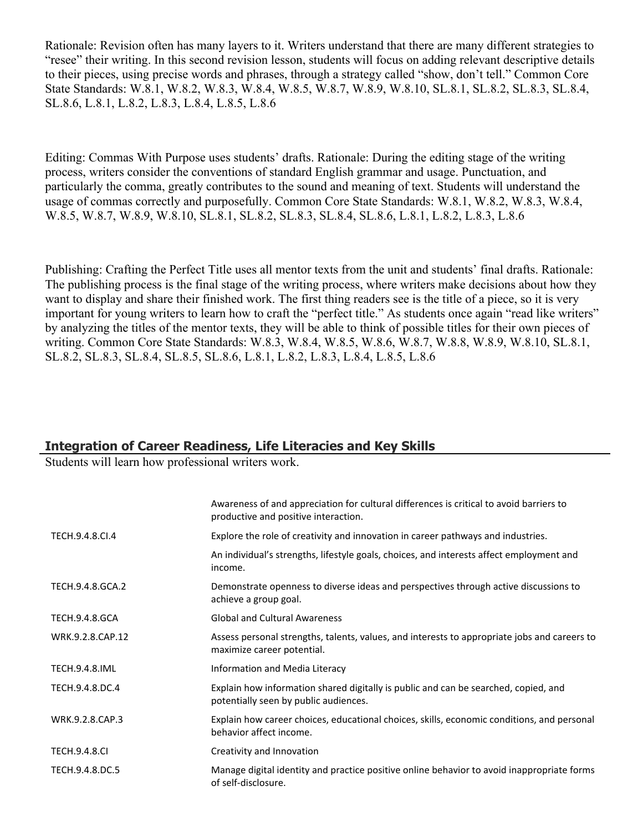Rationale: Revision often has many layers to it. Writers understand that there are many different strategies to "resee" their writing. In this second revision lesson, students will focus on adding relevant descriptive details to their pieces, using precise words and phrases, through a strategy called "show, don't tell." Common Core State Standards: W.8.1, W.8.2, W.8.3, W.8.4, W.8.5, W.8.7, W.8.9, W.8.10, SL.8.1, SL.8.2, SL.8.3, SL.8.4, SL.8.6, L.8.1, L.8.2, L.8.3, L.8.4, L.8.5, L.8.6

Editing: Commas With Purpose uses students' drafts. Rationale: During the editing stage of the writing process, writers consider the conventions of standard English grammar and usage. Punctuation, and particularly the comma, greatly contributes to the sound and meaning of text. Students will understand the usage of commas correctly and purposefully. Common Core State Standards: W.8.1, W.8.2, W.8.3, W.8.4, W.8.5, W.8.7, W.8.9, W.8.10, SL.8.1, SL.8.2, SL.8.3, SL.8.4, SL.8.6, L.8.1, L.8.2, L.8.3, L.8.6

Publishing: Crafting the Perfect Title uses all mentor texts from the unit and students' final drafts. Rationale: The publishing process is the final stage of the writing process, where writers make decisions about how they want to display and share their finished work. The first thing readers see is the title of a piece, so it is very important for young writers to learn how to craft the "perfect title." As students once again "read like writers" by analyzing the titles of the mentor texts, they will be able to think of possible titles for their own pieces of writing. Common Core State Standards: W.8.3, W.8.4, W.8.5, W.8.6, W.8.7, W.8.8, W.8.9, W.8.10, SL.8.1, SL.8.2, SL.8.3, SL.8.4, SL.8.5, SL.8.6, L.8.1, L.8.2, L.8.3, L.8.4, L.8.5, L.8.6

# **Integration of Career Readiness, Life Literacies and Key Skills**

Students will learn how professional writers work.

|                       | Awareness of and appreciation for cultural differences is critical to avoid barriers to<br>productive and positive interaction. |
|-----------------------|---------------------------------------------------------------------------------------------------------------------------------|
| TECH.9.4.8.CI.4       | Explore the role of creativity and innovation in career pathways and industries.                                                |
|                       | An individual's strengths, lifestyle goals, choices, and interests affect employment and<br>income.                             |
| TECH.9.4.8.GCA.2      | Demonstrate openness to diverse ideas and perspectives through active discussions to<br>achieve a group goal.                   |
| <b>TECH.9.4.8.GCA</b> | <b>Global and Cultural Awareness</b>                                                                                            |
| WRK.9.2.8.CAP.12      | Assess personal strengths, talents, values, and interests to appropriate jobs and careers to<br>maximize career potential.      |
| <b>TECH.9.4.8.IML</b> | Information and Media Literacy                                                                                                  |
| TECH.9.4.8.DC.4       | Explain how information shared digitally is public and can be searched, copied, and<br>potentially seen by public audiences.    |
| WRK.9.2.8.CAP.3       | Explain how career choices, educational choices, skills, economic conditions, and personal<br>behavior affect income.           |
| <b>TECH.9.4.8.CI</b>  | Creativity and Innovation                                                                                                       |
| TECH.9.4.8.DC.5       | Manage digital identity and practice positive online behavior to avoid inappropriate forms<br>of self-disclosure.               |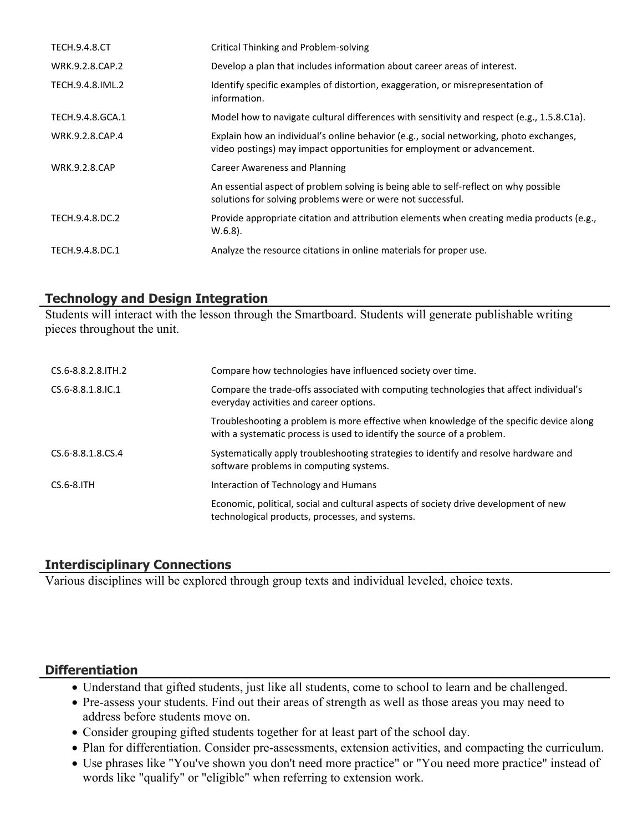| <b>TECH.9.4.8.CT</b> | Critical Thinking and Problem-solving                                                                                                                             |
|----------------------|-------------------------------------------------------------------------------------------------------------------------------------------------------------------|
| WRK.9.2.8.CAP.2      | Develop a plan that includes information about career areas of interest.                                                                                          |
| TECH.9.4.8.IML.2     | Identify specific examples of distortion, exaggeration, or misrepresentation of<br>information.                                                                   |
| TECH.9.4.8.GCA.1     | Model how to navigate cultural differences with sensitivity and respect (e.g., 1.5.8.C1a).                                                                        |
| WRK.9.2.8.CAP.4      | Explain how an individual's online behavior (e.g., social networking, photo exchanges,<br>video postings) may impact opportunities for employment or advancement. |
| <b>WRK.9.2.8.CAP</b> | Career Awareness and Planning                                                                                                                                     |
|                      | An essential aspect of problem solving is being able to self-reflect on why possible<br>solutions for solving problems were or were not successful.               |
| TECH.9.4.8.DC.2      | Provide appropriate citation and attribution elements when creating media products (e.g.,<br>$W.6.8$ ).                                                           |
| TECH.9.4.8.DC.1      | Analyze the resource citations in online materials for proper use.                                                                                                |

# **Technology and Design Integration**

Students will interact with the lesson through the Smartboard. Students will generate publishable writing pieces throughout the unit.

| CS.6-8.8.2.8. ITH. 2 | Compare how technologies have influenced society over time.                                                                                                       |
|----------------------|-------------------------------------------------------------------------------------------------------------------------------------------------------------------|
| CS.6-8.8.1.8.IC.1    | Compare the trade-offs associated with computing technologies that affect individual's<br>everyday activities and career options.                                 |
|                      | Troubleshooting a problem is more effective when knowledge of the specific device along<br>with a systematic process is used to identify the source of a problem. |
| CS.6-8.8.1.8.CS.4    | Systematically apply troubleshooting strategies to identify and resolve hardware and<br>software problems in computing systems.                                   |
| $CS.6-8.1TH$         | Interaction of Technology and Humans                                                                                                                              |
|                      | Economic, political, social and cultural aspects of society drive development of new<br>technological products, processes, and systems.                           |

# **Interdisciplinary Connections**

Various disciplines will be explored through group texts and individual leveled, choice texts.

# **Differentiation**

- Understand that gifted students, just like all students, come to school to learn and be challenged.
- Pre-assess your students. Find out their areas of strength as well as those areas you may need to address before students move on.
- Consider grouping gifted students together for at least part of the school day.
- Plan for differentiation. Consider pre-assessments, extension activities, and compacting the curriculum.
- Use phrases like "You've shown you don't need more practice" or "You need more practice" instead of words like "qualify" or "eligible" when referring to extension work.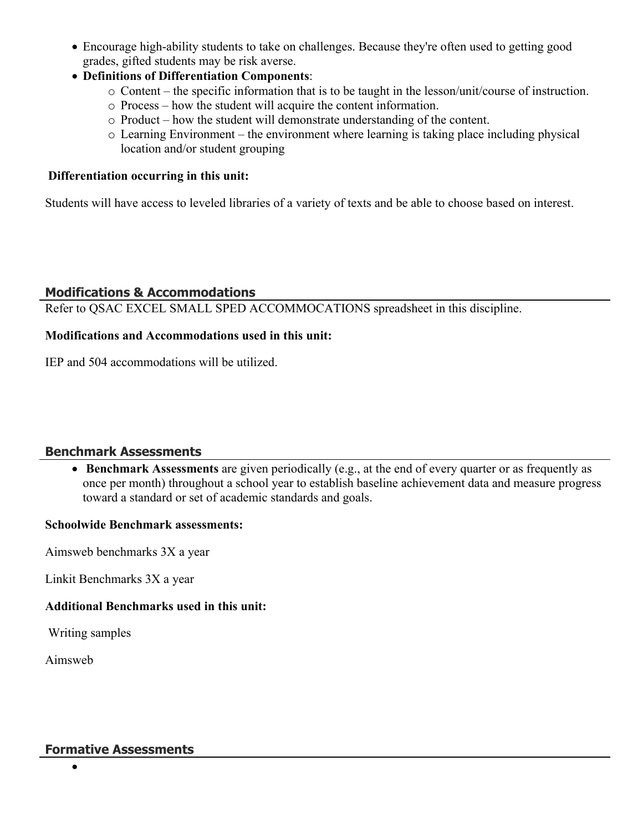- Encourage high-ability students to take on challenges. Because they're often used to getting good grades, gifted students may be risk averse.
- **Definitions of Differentiation Components**:
	- o Content the specific information that is to be taught in the lesson/unit/course of instruction.
	- o Process how the student will acquire the content information.
	- o Product how the student will demonstrate understanding of the content.
	- o Learning Environment the environment where learning is taking place including physical location and/or student grouping

## **Differentiation occurring in this unit:**

Students will have access to leveled libraries of a variety of texts and be able to choose based on interest.

# **Modifications & Accommodations**

Refer to QSAC EXCEL SMALL SPED ACCOMMOCATIONS spreadsheet in this discipline.

## **Modifications and Accommodations used in this unit:**

IEP and 504 accommodations will be utilized.

## **Benchmark Assessments**

 **Benchmark Assessments** are given periodically (e.g., at the end of every quarter or as frequently as once per month) throughout a school year to establish baseline achievement data and measure progress toward a standard or set of academic standards and goals.

## **Schoolwide Benchmark assessments:**

Aimsweb benchmarks 3X a year

Linkit Benchmarks 3X a year

## **Additional Benchmarks used in this unit:**

Writing samples

Aimsweb

## **Formative Assessments**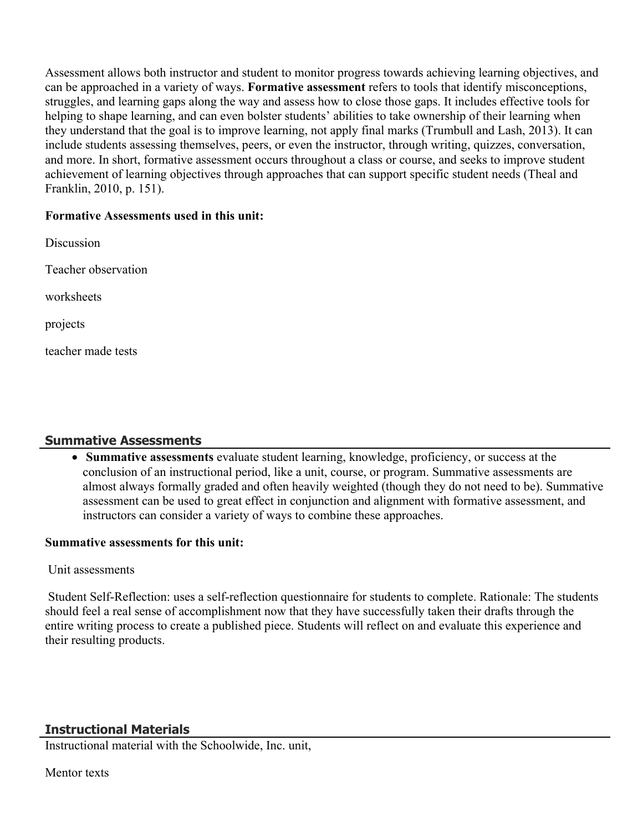Assessment allows both instructor and student to monitor progress towards achieving learning objectives, and can be approached in a variety of ways. **Formative assessment** refers to tools that identify misconceptions, struggles, and learning gaps along the way and assess how to close those gaps. It includes effective tools for helping to shape learning, and can even bolster students' abilities to take ownership of their learning when they understand that the goal is to improve learning, not apply final marks (Trumbull and Lash, 2013). It can include students assessing themselves, peers, or even the instructor, through writing, quizzes, conversation, and more. In short, formative assessment occurs throughout a class or course, and seeks to improve student achievement of learning objectives through approaches that can support specific student needs (Theal and Franklin, 2010, p. 151).

## **Formative Assessments used in this unit:**

Discussion Teacher observation worksheets projects teacher made tests

# **Summative Assessments**

 **Summative assessments** evaluate student learning, knowledge, proficiency, or success at the conclusion of an instructional period, like a unit, course, or program. Summative assessments are almost always formally graded and often heavily weighted (though they do not need to be). Summative assessment can be used to great effect in conjunction and alignment with formative assessment, and instructors can consider a variety of ways to combine these approaches.

## **Summative assessments for this unit:**

## Unit assessments

 Student Self-Reflection: uses a self-reflection questionnaire for students to complete. Rationale: The students should feel a real sense of accomplishment now that they have successfully taken their drafts through the entire writing process to create a published piece. Students will reflect on and evaluate this experience and their resulting products.

# **Instructional Materials**

Instructional material with the Schoolwide, Inc. unit,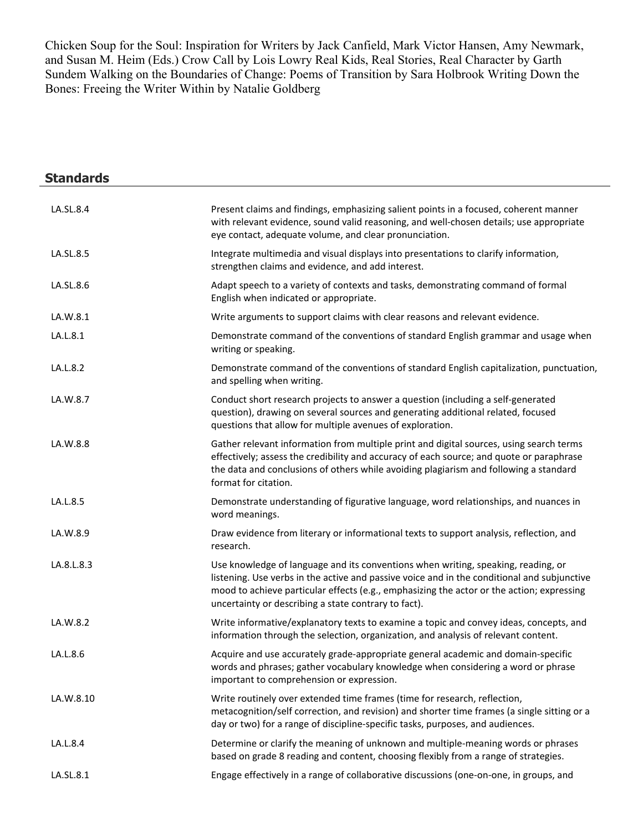Chicken Soup for the Soul: Inspiration for Writers by Jack Canfield, Mark Victor Hansen, Amy Newmark, and Susan M. Heim (Eds.) Crow Call by Lois Lowry Real Kids, Real Stories, Real Character by Garth Sundem Walking on the Boundaries of Change: Poems of Transition by Sara Holbrook Writing Down the Bones: Freeing the Writer Within by Natalie Goldberg

÷,

| <b>Standards</b> |                                                                                                                                                                                                                                                                                                                                       |
|------------------|---------------------------------------------------------------------------------------------------------------------------------------------------------------------------------------------------------------------------------------------------------------------------------------------------------------------------------------|
| LA.SL.8.4        | Present claims and findings, emphasizing salient points in a focused, coherent manner<br>with relevant evidence, sound valid reasoning, and well-chosen details; use appropriate<br>eye contact, adequate volume, and clear pronunciation.                                                                                            |
| LA.SL.8.5        | Integrate multimedia and visual displays into presentations to clarify information,<br>strengthen claims and evidence, and add interest.                                                                                                                                                                                              |
| LA.SL.8.6        | Adapt speech to a variety of contexts and tasks, demonstrating command of formal<br>English when indicated or appropriate.                                                                                                                                                                                                            |
| LA.W.8.1         | Write arguments to support claims with clear reasons and relevant evidence.                                                                                                                                                                                                                                                           |
| LA.L.8.1         | Demonstrate command of the conventions of standard English grammar and usage when<br>writing or speaking.                                                                                                                                                                                                                             |
| LA.L.8.2         | Demonstrate command of the conventions of standard English capitalization, punctuation,<br>and spelling when writing.                                                                                                                                                                                                                 |
| LA.W.8.7         | Conduct short research projects to answer a question (including a self-generated<br>question), drawing on several sources and generating additional related, focused<br>questions that allow for multiple avenues of exploration.                                                                                                     |
| LA.W.8.8         | Gather relevant information from multiple print and digital sources, using search terms<br>effectively; assess the credibility and accuracy of each source; and quote or paraphrase<br>the data and conclusions of others while avoiding plagiarism and following a standard<br>format for citation.                                  |
| LA.L.8.5         | Demonstrate understanding of figurative language, word relationships, and nuances in<br>word meanings.                                                                                                                                                                                                                                |
| LA.W.8.9         | Draw evidence from literary or informational texts to support analysis, reflection, and<br>research.                                                                                                                                                                                                                                  |
| LA.8.L.8.3       | Use knowledge of language and its conventions when writing, speaking, reading, or<br>listening. Use verbs in the active and passive voice and in the conditional and subjunctive<br>mood to achieve particular effects (e.g., emphasizing the actor or the action; expressing<br>uncertainty or describing a state contrary to fact). |
| LA.W.8.2         | Write informative/explanatory texts to examine a topic and convey ideas, concepts, and<br>information through the selection, organization, and analysis of relevant content.                                                                                                                                                          |
| LA.L.8.6         | Acquire and use accurately grade-appropriate general academic and domain-specific<br>words and phrases; gather vocabulary knowledge when considering a word or phrase<br>important to comprehension or expression.                                                                                                                    |
| LA.W.8.10        | Write routinely over extended time frames (time for research, reflection,<br>metacognition/self correction, and revision) and shorter time frames (a single sitting or a<br>day or two) for a range of discipline-specific tasks, purposes, and audiences.                                                                            |
| LA.L.8.4         | Determine or clarify the meaning of unknown and multiple-meaning words or phrases<br>based on grade 8 reading and content, choosing flexibly from a range of strategies.                                                                                                                                                              |
| LA.SL.8.1        | Engage effectively in a range of collaborative discussions (one-on-one, in groups, and                                                                                                                                                                                                                                                |